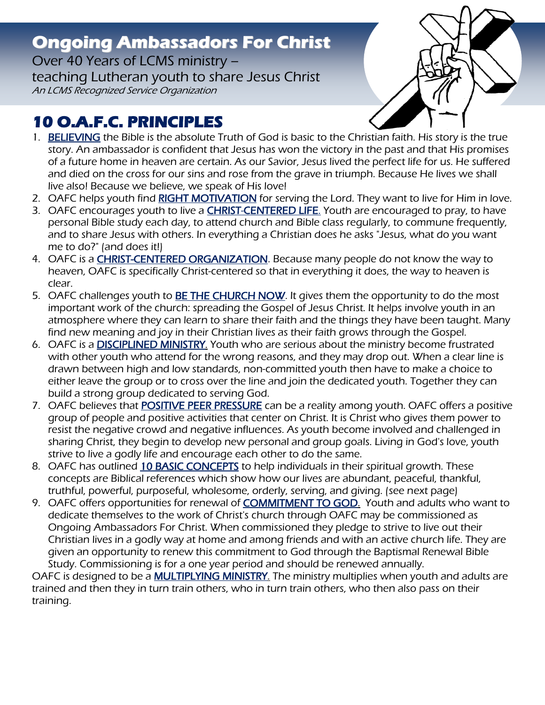## **Ongoing Ambassadors For Christ**

Over 40 Years of LCMS ministry – teaching Lutheran youth to share Jesus Christ An LCMS Recognized Service Organization



## **10 O.A.F.C. PRINCIPLES**

- 1. BELIEVING the Bible is the absolute Truth of God is basic to the Christian faith. His story is the true story. An ambassador is confident that Jesus has won the victory in the past and that His promises of a future home in heaven are certain. As our Savior, Jesus lived the perfect life for us. He suffered and died on the cross for our sins and rose from the grave in triumph. Because He lives we shall live also! Because we believe, we speak of His love!
- 2. OAFC helps youth find RIGHT MOTIVATION for serving the Lord. They want to live for Him in love.
- 3. OAFC encourages youth to live a **CHRIST-CENTERED LIFE**. Youth are encouraged to pray, to have personal Bible study each day, to attend church and Bible class regularly, to commune frequently, and to share Jesus with others. In everything a Christian does he asks "Jesus, what do you want me to do?" (and does it!)
- 4. OAFC is a **CHRIST-CENTERED ORGANIZATION**. Because many people do not know the way to heaven, OAFC is specifically Christ-centered so that in everything it does, the way to heaven is clear.
- 5. OAFC challenges youth to **BE THE CHURCH NOW**. It gives them the opportunity to do the most important work of the church: spreading the Gospel of Jesus Christ. It helps involve youth in an atmosphere where they can learn to share their faith and the things they have been taught. Many find new meaning and joy in their Christian lives as their faith grows through the Gospel.
- 6. OAFC is a DISCIPLINED MINISTRY. Youth who are serious about the ministry become frustrated with other youth who attend for the wrong reasons, and they may drop out. When a clear line is drawn between high and low standards, non-committed youth then have to make a choice to either leave the group or to cross over the line and join the dedicated youth. Together they can build a strong group dedicated to serving God.
- 7. OAFC believes that **POSITIVE PEER PRESSURE** can be a reality among youth. OAFC offers a positive group of people and positive activities that center on Christ. It is Christ who gives them power to resist the negative crowd and negative influences. As youth become involved and challenged in sharing Christ, they begin to develop new personal and group goals. Living in God's love, youth strive to live a godly life and encourage each other to do the same.
- 8. OAFC has outlined 10 BASIC CONCEPTS to help individuals in their spiritual growth. These concepts are Biblical references which show how our lives are abundant, peaceful, thankful, truthful, powerful, purposeful, wholesome, orderly, serving, and giving. (see next page)
- 9. OAFC offers opportunities for renewal of **COMMITMENT TO GOD.** Youth and adults who want to dedicate themselves to the work of Christ's church through OAFC may be commissioned as Ongoing Ambassadors For Christ. When commissioned they pledge to strive to live out their Christian lives in a godly way at home and among friends and with an active church life. They are given an opportunity to renew this commitment to God through the Baptismal Renewal Bible Study. Commissioning is for a one year period and should be renewed annually.

OAFC is designed to be a **MULTIPLYING MINISTRY**. The ministry multiplies when youth and adults are trained and then they in turn train others, who in turn train others, who then also pass on their training.